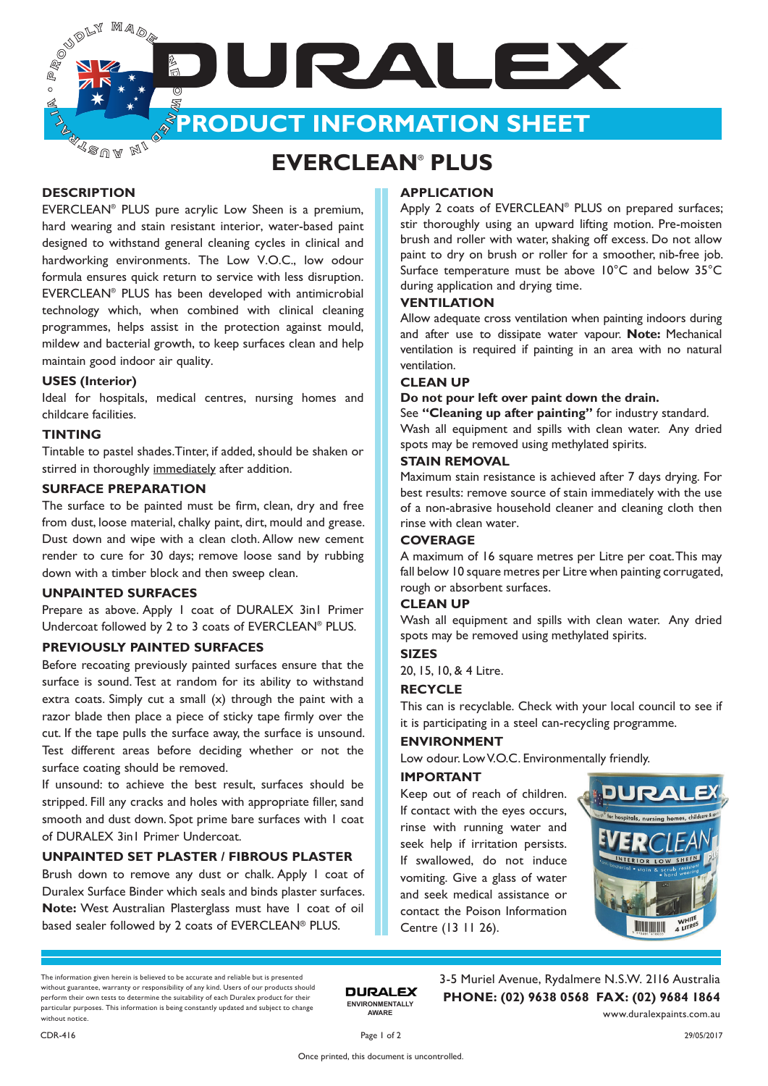**PRODUCT INFORMATION SHEET**

JURALEX

**K**sua **MI** 

Ma<sub>or</sub>

## **EVERCLEAN**®  **PLUS**

#### **DESCRIPTION**

**PARTITION** 

 $\circ$ ๘ ALLAND

EVERCLEAN® PLUS pure acrylic Low Sheen is a premium, hard wearing and stain resistant interior, water-based paint designed to withstand general cleaning cycles in clinical and hardworking environments. The Low V.O.C., low odour formula ensures quick return to service with less disruption. EVERCLEAN® PLUS has been developed with antimicrobial technology which, when combined with clinical cleaning programmes, helps assist in the protection against mould, mildew and bacterial growth, to keep surfaces clean and help maintain good indoor air quality.

#### **USES (Interior)**

Ideal for hospitals, medical centres, nursing homes and childcare facilities.

#### **TINTING**

Tintable to pastel shades.Tinter, if added, should be shaken or stirred in thoroughly immediately after addition.

#### **SURFACE PREPARATION**

The surface to be painted must be firm, clean, dry and free from dust, loose material, chalky paint, dirt, mould and grease. Dust down and wipe with a clean cloth. Allow new cement render to cure for 30 days; remove loose sand by rubbing down with a timber block and then sweep clean.

#### **UNPAINTED SURFACES**

Prepare as above. Apply 1 coat of DURALEX 3in1 Primer Undercoat followed by 2 to 3 coats of EVERCLEAN® PLUS.

#### **PREVIOUSLY PAINTED SURFACES**

Before recoating previously painted surfaces ensure that the surface is sound. Test at random for its ability to withstand extra coats. Simply cut a small (x) through the paint with a razor blade then place a piece of sticky tape firmly over the cut. If the tape pulls the surface away, the surface is unsound. Test different areas before deciding whether or not the surface coating should be removed.

If unsound: to achieve the best result, surfaces should be stripped. Fill any cracks and holes with appropriate filler, sand smooth and dust down. Spot prime bare surfaces with 1 coat of DURALEX 3in1 Primer Undercoat.

#### **UNPAINTED SET PLASTER / FIBROUS PLASTER**

Brush down to remove any dust or chalk. Apply 1 coat of Duralex Surface Binder which seals and binds plaster surfaces. **Note:** West Australian Plasterglass must have 1 coat of oil based sealer followed by 2 coats of EVERCLEAN® PLUS.

#### **APPLICATION**

Apply 2 coats of EVERCLEAN<sup>®</sup> PLUS on prepared surfaces; stir thoroughly using an upward lifting motion. Pre-moisten brush and roller with water, shaking off excess. Do not allow paint to dry on brush or roller for a smoother, nib-free job. Surface temperature must be above 10°C and below 35°C during application and drying time.

#### **VENTILATION**

Allow adequate cross ventilation when painting indoors during and after use to dissipate water vapour. **Note:** Mechanical ventilation is required if painting in an area with no natural ventilation.

#### **CLEAN UP**

**Do not pour left over paint down the drain.**

See **"Cleaning up after painting"** for industry standard. Wash all equipment and spills with clean water. Any dried spots may be removed using methylated spirits.

#### **STAIN REMOVAL**

Maximum stain resistance is achieved after 7 days drying. For best results: remove source of stain immediately with the use of a non-abrasive household cleaner and cleaning cloth then rinse with clean water.

#### **COVERAGE**

A maximum of 16 square metres per Litre per coat. This may fall below 10 square metres per Litre when painting corrugated, rough or absorbent surfaces.

#### **CLEAN UP**

Wash all equipment and spills with clean water. Any dried spots may be removed using methylated spirits.

#### **SIZES**

20, 15, 10, & 4 Litre.

#### **RECYCLE**

This can is recyclable. Check with your local council to see if it is participating in a steel can-recycling programme.

#### **ENVIRONMENT**

Low odour. Low V.O.C. Environmentally friendly.

#### **IMPORTANT**

Keep out of reach of children. If contact with the eyes occurs, rinse with running water and seek help if irritation persists. If swallowed, do not induce vomiting. Give a glass of water and seek medical assistance or contact the Poison Information Centre (13 11 26).



The information given herein is believed to be accurate and reliable but is presented without guarantee, warranty or responsibility of any kind. Users of our products should perform their own tests to determine the suitability of each Duralex product for their particular purposes. This information is being constantly updated and subject to change without notice.

3-5 Muriel Avenue, Rydalmere N.S.W. 2116 Australia **PHONE: (02) 9638 0568 FAX: (02) 9684 1864** www.duralexpaints.com.au

**ENVIRONMENTALLY AWARE**

**DURALEX**